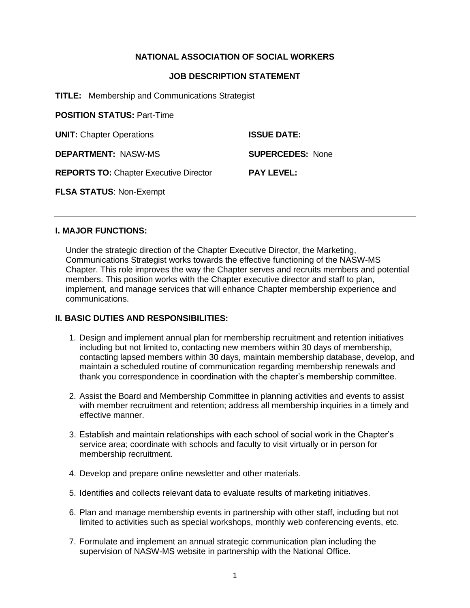# **NATIONAL ASSOCIATION OF SOCIAL WORKERS**

### **JOB DESCRIPTION STATEMENT**

**TITLE:** Membership and Communications Strategist

**POSITION STATUS:** Part-Time **UNIT:** Chapter Operations **ISSUE DATE: DEPARTMENT:** NASW-MS **SUPERCEDES:** None **REPORTS TO:** Chapter Executive Director **PAY LEVEL: FLSA STATUS**: Non-Exempt

### **I. MAJOR FUNCTIONS:**

Under the strategic direction of the Chapter Executive Director, the Marketing, Communications Strategist works towards the effective functioning of the NASW-MS Chapter. This role improves the way the Chapter serves and recruits members and potential members. This position works with the Chapter executive director and staff to plan, implement, and manage services that will enhance Chapter membership experience and communications.

## **II. BASIC DUTIES AND RESPONSIBILITIES:**

- 1. Design and implement annual plan for membership recruitment and retention initiatives including but not limited to, contacting new members within 30 days of membership, contacting lapsed members within 30 days, maintain membership database, develop, and maintain a scheduled routine of communication regarding membership renewals and thank you correspondence in coordination with the chapter's membership committee.
- 2. Assist the Board and Membership Committee in planning activities and events to assist with member recruitment and retention; address all membership inquiries in a timely and effective manner.
- 3. Establish and maintain relationships with each school of social work in the Chapter's service area; coordinate with schools and faculty to visit virtually or in person for membership recruitment.
- 4. Develop and prepare online newsletter and other materials.
- 5. Identifies and collects relevant data to evaluate results of marketing initiatives.
- 6. Plan and manage membership events in partnership with other staff, including but not limited to activities such as special workshops, monthly web conferencing events, etc.
- 7. Formulate and implement an annual strategic communication plan including the supervision of NASW-MS website in partnership with the National Office.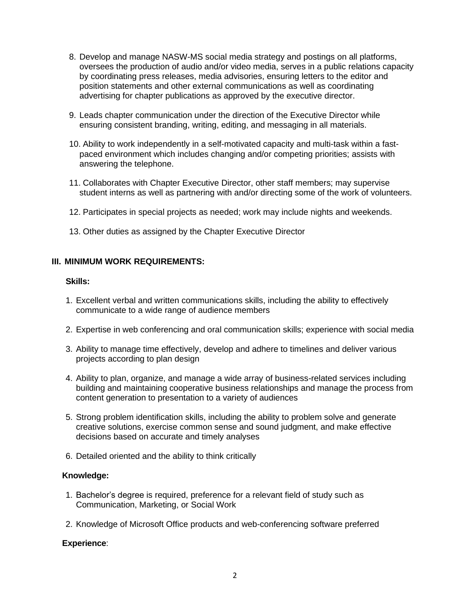- 8. Develop and manage NASW-MS social media strategy and postings on all platforms, oversees the production of audio and/or video media, serves in a public relations capacity by coordinating press releases, media advisories, ensuring letters to the editor and position statements and other external communications as well as coordinating advertising for chapter publications as approved by the executive director.
- 9. Leads chapter communication under the direction of the Executive Director while ensuring consistent branding, writing, editing, and messaging in all materials.
- 10. Ability to work independently in a self-motivated capacity and multi-task within a fastpaced environment which includes changing and/or competing priorities; assists with answering the telephone.
- 11. Collaborates with Chapter Executive Director, other staff members; may supervise student interns as well as partnering with and/or directing some of the work of volunteers.
- 12. Participates in special projects as needed; work may include nights and weekends.
- 13. Other duties as assigned by the Chapter Executive Director

### **III. MINIMUM WORK REQUIREMENTS:**

### **Skills:**

- 1. Excellent verbal and written communications skills, including the ability to effectively communicate to a wide range of audience members
- 2. Expertise in web conferencing and oral communication skills; experience with social media
- 3. Ability to manage time effectively, develop and adhere to timelines and deliver various projects according to plan design
- 4. Ability to plan, organize, and manage a wide array of business-related services including building and maintaining cooperative business relationships and manage the process from content generation to presentation to a variety of audiences
- 5. Strong problem identification skills, including the ability to problem solve and generate creative solutions, exercise common sense and sound judgment, and make effective decisions based on accurate and timely analyses
- 6. Detailed oriented and the ability to think critically

## **Knowledge:**

- 1. Bachelor's degree is required, preference for a relevant field of study such as Communication, Marketing, or Social Work
- 2. Knowledge of Microsoft Office products and web-conferencing software preferred

### **Experience**: